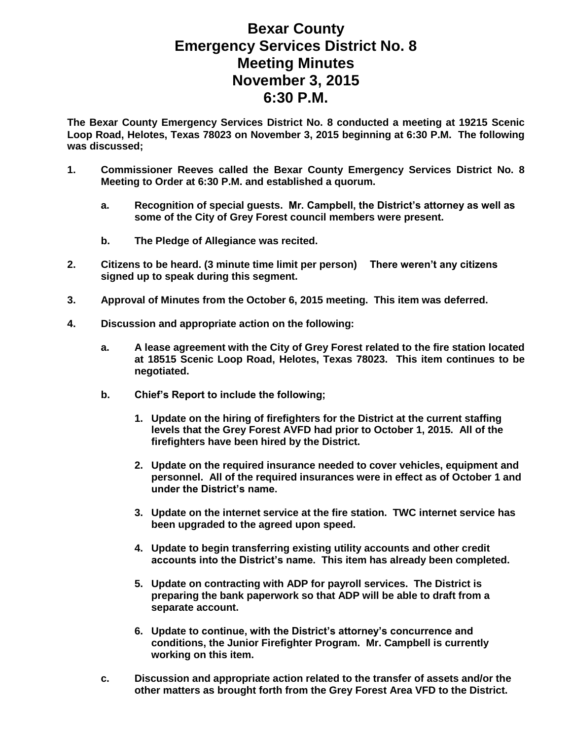## **Bexar County Emergency Services District No. 8 Meeting Minutes November 3, 2015 6:30 P.M.**

**The Bexar County Emergency Services District No. 8 conducted a meeting at 19215 Scenic Loop Road, Helotes, Texas 78023 on November 3, 2015 beginning at 6:30 P.M. The following was discussed;**

- **1. Commissioner Reeves called the Bexar County Emergency Services District No. 8 Meeting to Order at 6:30 P.M. and established a quorum.** 
	- **a. Recognition of special guests. Mr. Campbell, the District's attorney as well as some of the City of Grey Forest council members were present.**
	- **b. The Pledge of Allegiance was recited.**
- **2. Citizens to be heard. (3 minute time limit per person) There weren't any citizens signed up to speak during this segment.**
- **3. Approval of Minutes from the October 6, 2015 meeting. This item was deferred.**
- **4. Discussion and appropriate action on the following:**
	- **a. A lease agreement with the City of Grey Forest related to the fire station located at 18515 Scenic Loop Road, Helotes, Texas 78023. This item continues to be negotiated.**
	- **b. Chief's Report to include the following;**
		- **1. Update on the hiring of firefighters for the District at the current staffing levels that the Grey Forest AVFD had prior to October 1, 2015. All of the firefighters have been hired by the District.**
		- **2. Update on the required insurance needed to cover vehicles, equipment and personnel. All of the required insurances were in effect as of October 1 and under the District's name.**
		- **3. Update on the internet service at the fire station. TWC internet service has been upgraded to the agreed upon speed.**
		- **4. Update to begin transferring existing utility accounts and other credit accounts into the District's name. This item has already been completed.**
		- **5. Update on contracting with ADP for payroll services. The District is preparing the bank paperwork so that ADP will be able to draft from a separate account.**
		- **6. Update to continue, with the District's attorney's concurrence and conditions, the Junior Firefighter Program. Mr. Campbell is currently working on this item.**
	- **c. Discussion and appropriate action related to the transfer of assets and/or the other matters as brought forth from the Grey Forest Area VFD to the District.**